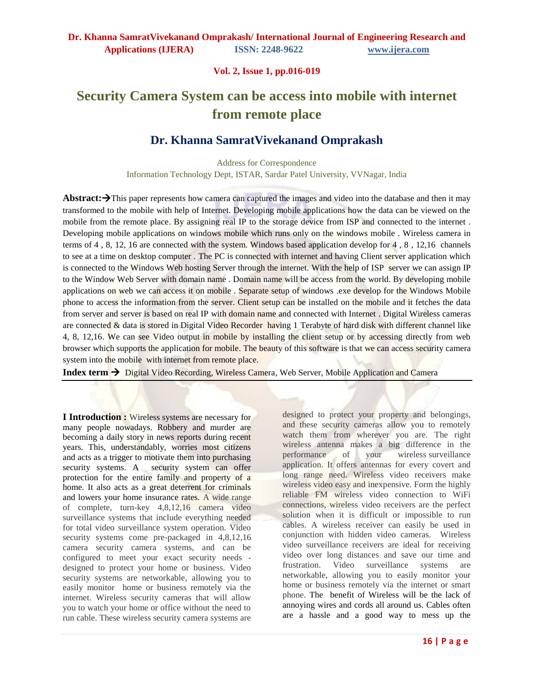**Vol. 2, Issue 1, pp.016-019**

# **Security Camera System can be access into mobile with internet from remote place**

# **Dr. Khanna SamratVivekanand Omprakash**

Address for Correspondence Information Technology Dept, ISTAR, Sardar Patel University, VVNagar, India

**Abstract:** $\rightarrow$ This paper represents how camera can captured the images and video into the database and then it may transformed to the mobile with help of Internet. Developing mobile applications how the data can be viewed on the mobile from the remote place. By assigning real IP to the storage device from ISP and connected to the internet. Developing mobile applications on windows mobile which runs only on the windows mobile . Wireless camera in terms of 4 , 8, 12, 16 are connected with the system. Windows based application develop for 4 , 8 , 12,16 channels to see at a time on desktop computer . The PC is connected with internet and having Client server application which is connected to the Windows Web hosting Server through the internet. With the help of ISP server we can assign IP to the Window Web Server with domain name . Domain name will be access from the world. By developing mobile applications on web we can access it on mobile . Separate setup of windows .exe develop for the Windows Mobile phone to access the information from the server. Client setup can be installed on the mobile and it fetches the data from server and server is based on real IP with domain name and connected with Internet . Digital Wireless cameras are connected & data is stored in Digital Video Recorder having 1 Terabyte of hard disk with different channel like 4, 8, 12,16. We can see Video output in mobile by installing the client setup or by accessing directly from web browser which supports the application for mobile. The beauty of this software is that we can access security camera system into the mobile with internet from remote place.

Index term  $\rightarrow$  Digital Video Recording, Wireless Camera, Web Server, Mobile Application and Camera

**I Introduction :** Wireless systems are necessary for many people nowadays. Robbery and murder are becoming a daily story in news reports during recent years. This, understandably, worries most citizens and acts as a trigger to motivate them into purchasing security systems. A security system can offer protection for the entire family and property of a home. It also acts as a great deterrent for criminals and lowers your home insurance rates. A wide range of complete, turn-key 4,8,12,16 camera video surveillance systems that include everything needed for total video surveillance system operation. Video security systems come pre-packaged in 4,8,12,16 camera security camera systems, and can be configured to meet your exact security needs designed to protect your home or business. Video security systems are networkable, allowing you to easily monitor home or business remotely via the internet. Wireless security cameras that will allow you to watch your home or office without the need to run cable. These wireless security camera systems are

designed to protect your property and belongings, and these security cameras allow you to remotely watch them from wherever you are. The right wireless antenna makes a big difference in the performance of your wireless surveillance application. It offers antennas for every covert and long range need. Wireless video receivers make wireless video easy and inexpensive. Form the highly reliable FM wireless video connection to WiFi connections, wireless video receivers are the perfect solution when it is difficult or impossible to run cables. A wireless receiver can easily be used in conjunction with hidden video cameras. Wireless video surveillance receivers are ideal for receiving video over long distances and save our time and frustration. Video surveillance systems are networkable, allowing you to easily monitor your home or business remotely via the internet or smart phone. The benefit of Wireless will be the lack of annoying wires and cords all around us. Cables often are a hassle and a good way to mess up the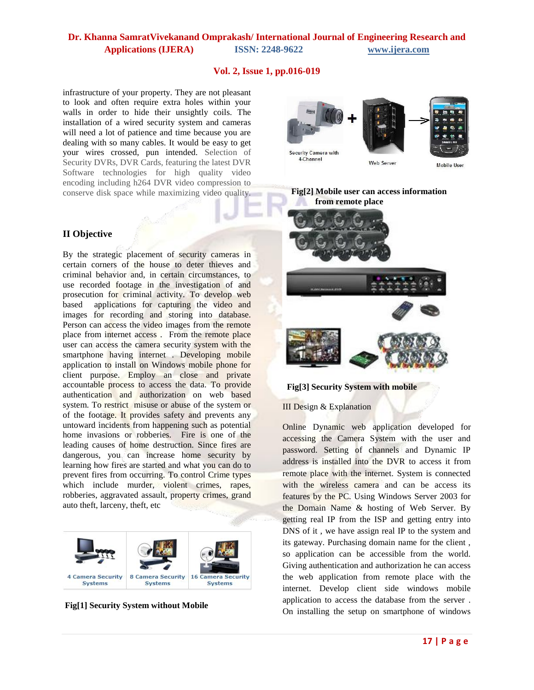# **Dr. Khanna SamratVivekanand Omprakash/ International Journal of Engineering Research and Applications (IJERA) ISSN: 2248-9622 www.ijera.com**

### **Vol. 2, Issue 1, pp.016-019**

infrastructure of your property. They are not pleasant to look and often require extra holes within your walls in order to hide their unsightly coils. The installation of a wired security system and cameras will need a lot of patience and time because you are dealing with so many cables. It would be easy to get your wires crossed, pun intended. Selection of Security DVRs, DVR Cards, featuring the latest DVR Software technologies for high quality video encoding including h264 DVR video compression to conserve disk space while maximizing video quality.

# Security Camera with 4-Channel Web Server

Mobile User

 **Fig[2] Mobile user can access information from remote place**



#### **Fig[3] Security System with mobile**

III Design & Explanation

Online Dynamic web application developed for accessing the Camera System with the user and password. Setting of channels and Dynamic IP address is installed into the DVR to access it from remote place with the internet. System is connected with the wireless camera and can be access its features by the PC. Using Windows Server 2003 for the Domain Name & hosting of Web Server. By getting real IP from the ISP and getting entry into DNS of it , we have assign real IP to the system and its gateway. Purchasing domain name for the client , so application can be accessible from the world. Giving authentication and authorization he can access the web application from remote place with the internet. Develop client side windows mobile application to access the database from the server . On installing the setup on smartphone of windows

# **II Objective**

By the strategic placement of security cameras in certain corners of the house to deter thieves and criminal behavior and, in certain circumstances, to use recorded footage in the investigation of and prosecution for criminal activity. To develop web based applications for capturing the video and images for recording and storing into database. Person can access the video images from the remote place from internet access . From the remote place user can access the camera security system with the smartphone having internet . Developing mobile application to install on Windows mobile phone for client purpose. Employ an close and private accountable process to access the data. To provide authentication and authorization on web based system. To restrict misuse or abuse of the system or of the footage. It provides safety and prevents any untoward incidents from happening such as potential home invasions or robberies. Fire is one of the leading causes of home destruction. Since fires are dangerous, you can increase home security by learning how fires are started and what you can do to prevent fires from occurring. To control Crime types which include murder, violent crimes, rapes, robberies, aggravated assault, property crimes, grand auto theft, larceny, theft, etc



**Fig[1] Security System without Mobile**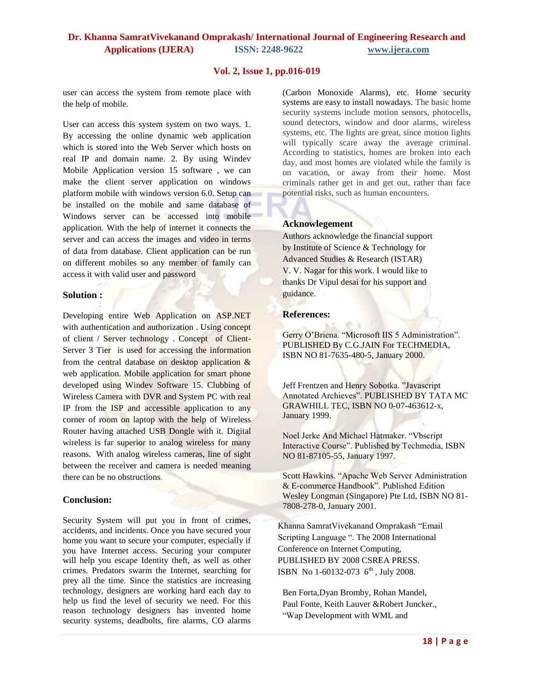# **Dr. Khanna SamratVivekanand Omprakash/ International Journal of Engineering Research and Applications (IJERA) ISSN: 2248-9622 www.ijera.com**

#### **Vol. 2, Issue 1, pp.016-019**

user can access the system from remote place with the help of mobile.

User can access this system system on two ways. 1. By accessing the online dynamic web application which is stored into the Web Server which hosts on real IP and domain name. 2. By using Windev Mobile Application version 15 software , we can make the client server application on windows platform mobile with windows version 6.0. Setup can be installed on the mobile and same database of Windows server can be accessed into mobile application. With the help of internet it connects the server and can access the images and video in terms of data from database. Client application can be run on different mobiles so any member of family can access it with valid user and password

#### **Solution :**

Developing entire Web Application on ASP.NET with authentication and authorization . Using concept of client / Server technology . Concept of Client-Server 3 Tier is used for accessing the information from the central database on desktop application  $\&$ web application. Mobile application for smart phone developed using Windev Software 15. Clubbing of Wireless Camera with DVR and System PC with real IP from the ISP and accessible application to any corner of room on laptop with the help of Wireless Router having attached USB Dongle with it. Digital wireless is far superior to analog wireless for many reasons. With analog wireless cameras, line of sight between the receiver and camera is needed meaning there can be no obstructions.

#### **Conclusion:**

Security System will put you in front of crimes, accidents, and incidents. Once you have secured your home you want to secure your computer, especially if you have Internet access. Securing your computer will help you escape Identity theft, as well as other crimes. Predators swarm the Internet, searching for prey all the time. Since the statistics are increasing technology, designers are working hard each day to help us find the level of security we need. For this reason technology designers has invented home security systems, deadbolts, fire alarms, CO alarms (Carbon Monoxide Alarms), etc. Home security systems are easy to install nowadays. The basic home security systems include motion sensors, photocells, sound detectors, window and door alarms, wireless systems, etc. The lights are great, since motion lights will typically scare away the average criminal. According to statistics, homes are broken into each day, and most homes are violated while the family is on vacation, or away from their home. Most criminals rather get in and get out, rather than face potential risks, such as human encounters.

#### **Acknowlegement**

Authors acknowledge the financial support by Institute of Science & Technology for Advanced Studies & Research (ISTAR) V. V. Nagar for this work. I would like to thanks Dr Vipul desai for his support and guidance.

#### **References:**

Gerry O'Briena. "Microsoft IIS 5 Administration". PUBLISHED By C.G.JAIN For TECHMEDIA, ISBN NO 81-7635-480-5, January 2000.

Jeff Frentzen and Henry Sobotka. "Javascript Annotated Archieves". PUBLISHED BY TATA MC GRAWHILL TEC, ISBN NO 0-07-463612-x, January 1999.

Noel Jerke And Michael Hatmaker. "Vbscript Interactive Course". Published by Techmedia, ISBN NO 81-87105-55, January 1997.

Scott Hawkins. "Apache Web Server Administration & E-commerce Handbook". Published Edition Wesley Longman (Singapore) Pte Ltd, ISBN NO 81- 7808-278-0, January 2001.

 Khanna SamratVivekanand Omprakash "Email Scripting Language ". The 2008 International Conference on Internet Computing, PUBLISHED BY 2008 CSREA PRESS. ISBN No 1-60132-073  $6^{th}$ , July 2008.

Ben Forta,Dyan Bromby, Rohan Mandel, Paul Fonte, Keith Lauver &Robert Juncker., "Wap Development with WML and